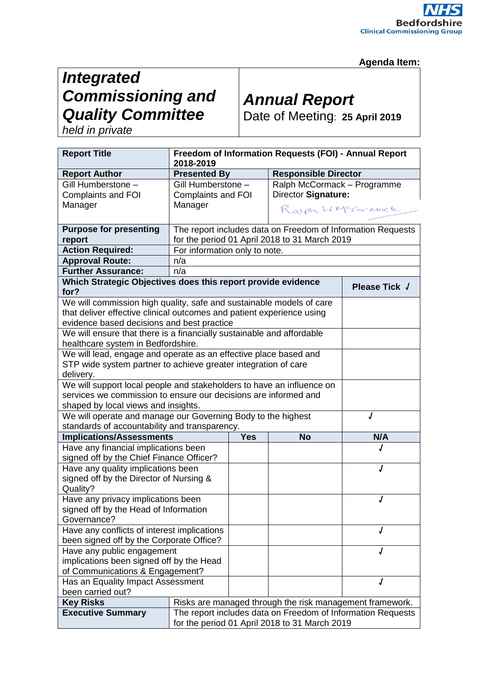### **Agenda Item:**

## *Integrated Commissioning and Quality Committee*

# *Annual Report*

Date of Meeting: **25 April 2019**

*held in private*

| <b>Report Title</b>                                                   | Freedom of Information Requests (FOI) - Annual Report<br>2018-2019    |            |                                                          |               |  |
|-----------------------------------------------------------------------|-----------------------------------------------------------------------|------------|----------------------------------------------------------|---------------|--|
| <b>Report Author</b>                                                  | <b>Presented By</b>                                                   |            | <b>Responsible Director</b>                              |               |  |
| Gill Humberstone -                                                    | Gill Humberstone -                                                    |            | Ralph McCormack - Programme                              |               |  |
| <b>Complaints and FOI</b>                                             | <b>Complaints and FOI</b>                                             |            | Director Signature:                                      |               |  |
| Manager                                                               | Manager                                                               |            | Ralph W.McCarnack                                        |               |  |
|                                                                       |                                                                       |            |                                                          |               |  |
| <b>Purpose for presenting</b>                                         | The report includes data on Freedom of Information Requests           |            |                                                          |               |  |
| report                                                                | for the period 01 April 2018 to 31 March 2019                         |            |                                                          |               |  |
| <b>Action Required:</b>                                               | For information only to note.                                         |            |                                                          |               |  |
| <b>Approval Route:</b>                                                | n/a                                                                   |            |                                                          |               |  |
| <b>Further Assurance:</b>                                             | n/a                                                                   |            |                                                          |               |  |
| Which Strategic Objectives does this report provide evidence          |                                                                       |            |                                                          | Please Tick J |  |
| for?                                                                  |                                                                       |            |                                                          |               |  |
|                                                                       | We will commission high quality, safe and sustainable models of care  |            |                                                          |               |  |
|                                                                       | that deliver effective clinical outcomes and patient experience using |            |                                                          |               |  |
| evidence based decisions and best practice                            |                                                                       |            |                                                          |               |  |
| We will ensure that there is a financially sustainable and affordable |                                                                       |            |                                                          |               |  |
| healthcare system in Bedfordshire.                                    |                                                                       |            |                                                          |               |  |
|                                                                       | We will lead, engage and operate as an effective place based and      |            |                                                          |               |  |
|                                                                       | STP wide system partner to achieve greater integration of care        |            |                                                          |               |  |
| delivery.                                                             |                                                                       |            |                                                          |               |  |
| We will support local people and stakeholders to have an influence on |                                                                       |            |                                                          |               |  |
| services we commission to ensure our decisions are informed and       |                                                                       |            |                                                          |               |  |
| shaped by local views and insights.                                   |                                                                       |            |                                                          |               |  |
| We will operate and manage our Governing Body to the highest<br>J     |                                                                       |            |                                                          |               |  |
| standards of accountability and transparency.                         |                                                                       |            |                                                          |               |  |
| <b>Implications/Assessments</b>                                       |                                                                       | <b>Yes</b> | <b>No</b>                                                | N/A           |  |
| Have any financial implications been                                  |                                                                       |            |                                                          |               |  |
| signed off by the Chief Finance Officer?                              |                                                                       |            |                                                          | J             |  |
| Have any quality implications been                                    |                                                                       |            |                                                          |               |  |
| signed off by the Director of Nursing &<br>Quality?                   |                                                                       |            |                                                          |               |  |
| Have any privacy implications been                                    |                                                                       |            | J                                                        |               |  |
| signed off by the Head of Information                                 |                                                                       |            |                                                          |               |  |
| Governance?                                                           |                                                                       |            |                                                          |               |  |
| Have any conflicts of interest implications                           |                                                                       |            |                                                          | J             |  |
| been signed off by the Corporate Office?                              |                                                                       |            |                                                          |               |  |
| Have any public engagement                                            |                                                                       |            |                                                          | J             |  |
| implications been signed off by the Head                              |                                                                       |            |                                                          |               |  |
| of Communications & Engagement?                                       |                                                                       |            |                                                          |               |  |
| Has an Equality Impact Assessment                                     |                                                                       |            |                                                          | J             |  |
| been carried out?                                                     |                                                                       |            |                                                          |               |  |
| <b>Key Risks</b>                                                      |                                                                       |            | Risks are managed through the risk management framework. |               |  |
| <b>Executive Summary</b>                                              | The report includes data on Freedom of Information Requests           |            |                                                          |               |  |
|                                                                       | for the period 01 April 2018 to 31 March 2019                         |            |                                                          |               |  |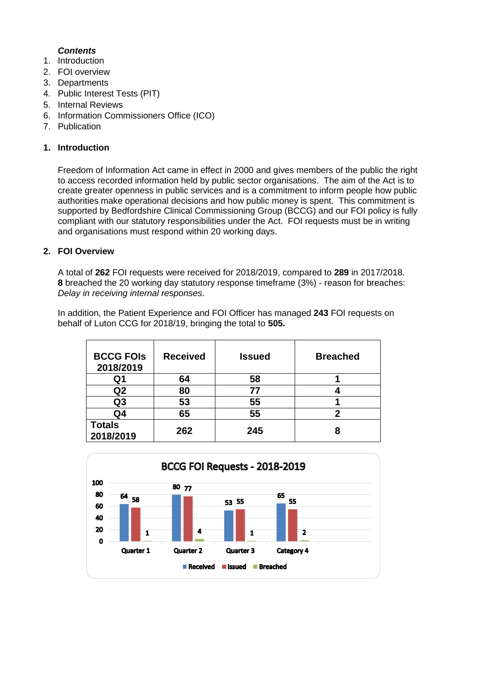### *Contents*

- 1. Introduction
- 2. FOI overview
- 3. Departments
- 4. Public Interest Tests (PIT)
- 5. Internal Reviews
- 6. Information Commissioners Office (ICO)
- 7. Publication

#### **1. Introduction**

Freedom of Information Act came in effect in 2000 and gives members of the public the right to access recorded information held by public sector organisations. The aim of the Act is to create greater openness in public services and is a commitment to inform people how public authorities make operational decisions and how public money is spent. This commitment is supported by Bedfordshire Clinical Commissioning Group (BCCG) and our FOI policy is fully compliant with our statutory responsibilities under the Act. FOI requests must be in writing and organisations must respond within 20 working days.

#### **2. FOI Overview**

A total of **262** FOI requests were received for 2018/2019, compared to **289** in 2017/2018. **8** breached the 20 working day statutory response timeframe (3%) - reason for breaches: *Delay in receiving internal responses*.

In addition, the Patient Experience and FOI Officer has managed **243** FOI requests on behalf of Luton CCG for 2018/19, bringing the total to **505.**

| <b>BCCG FOIS</b><br>2018/2019 | <b>Received</b> | <b>Issued</b> | <b>Breached</b> |
|-------------------------------|-----------------|---------------|-----------------|
| Q1                            | 64              | 58            |                 |
| Q <sub>2</sub>                | 80              | 77            |                 |
| Q <sub>3</sub>                | 53              | 55            |                 |
| Q4                            | 65              | 55            | 2               |
| <b>Totals</b><br>2018/2019    | 262             | 245           | 8               |